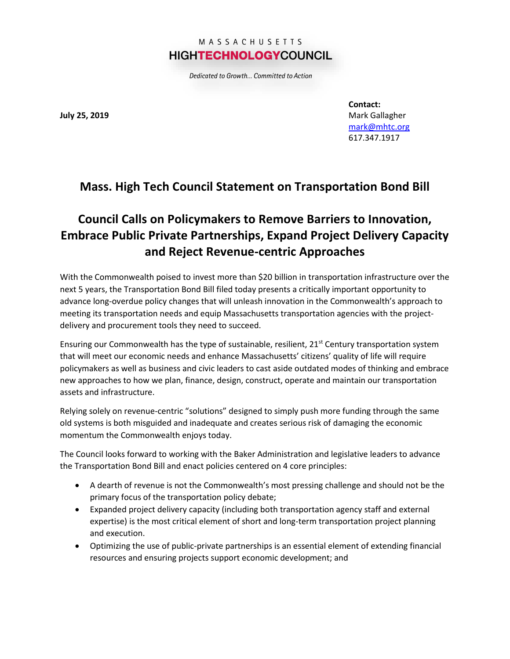## MASSACHUSETTS **HIGHTECHNOLOGYCOUNCIL**

Dedicated to Growth... Committed to Action

**July 25, 2019**

**Contact:** Mark Gallagher [mark@mhtc.org](mailto:mark@mhtc.org) 617.347.1917

## **Mass. High Tech Council Statement on Transportation Bond Bill**

## **Council Calls on Policymakers to Remove Barriers to Innovation, Embrace Public Private Partnerships, Expand Project Delivery Capacity and Reject Revenue-centric Approaches**

With the Commonwealth poised to invest more than \$20 billion in transportation infrastructure over the next 5 years, the Transportation Bond Bill filed today presents a critically important opportunity to advance long-overdue policy changes that will unleash innovation in the Commonwealth's approach to meeting its transportation needs and equip Massachusetts transportation agencies with the projectdelivery and procurement tools they need to succeed.

Ensuring our Commonwealth has the type of sustainable, resilient, 21<sup>st</sup> Century transportation system that will meet our economic needs and enhance Massachusetts' citizens' quality of life will require policymakers as well as business and civic leaders to cast aside outdated modes of thinking and embrace new approaches to how we plan, finance, design, construct, operate and maintain our transportation assets and infrastructure.

Relying solely on revenue-centric "solutions" designed to simply push more funding through the same old systems is both misguided and inadequate and creates serious risk of damaging the economic momentum the Commonwealth enjoys today.

The Council looks forward to working with the Baker Administration and legislative leaders to advance the Transportation Bond Bill and enact policies centered on 4 core principles:

- A dearth of revenue is not the Commonwealth's most pressing challenge and should not be the primary focus of the transportation policy debate;
- Expanded project delivery capacity (including both transportation agency staff and external expertise) is the most critical element of short and long-term transportation project planning and execution.
- Optimizing the use of public-private partnerships is an essential element of extending financial resources and ensuring projects support economic development; and